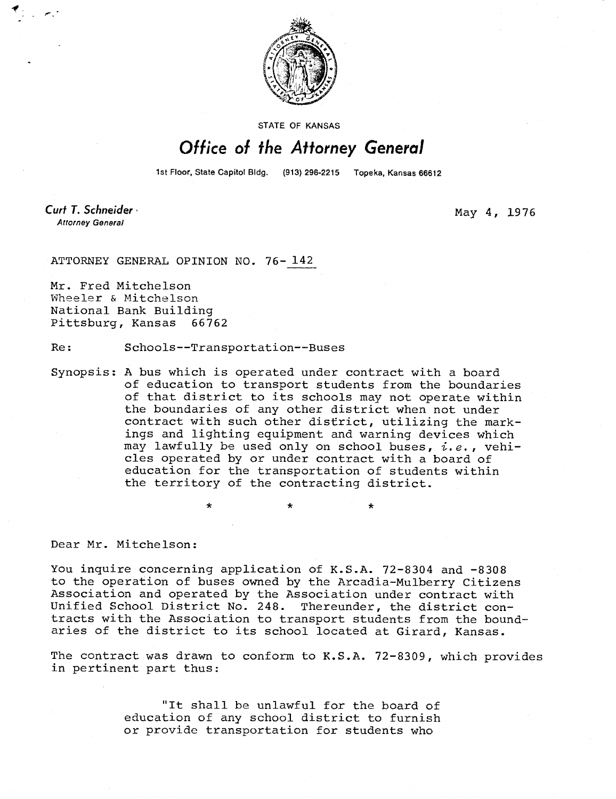

STATE OF KANSAS

## Office of the Attorney General

1st Floor, State Capitol Bldg. (913) 296-2215 Topeka, Kansas 66612

Curt T. Schneider **Attorney General** 

May 4, 1976

ATTORNEY GENERAL OPINION NO. 76- 142

Mr. Fred Mitchelson Wheeler & Mitchelson National Bank Building Pittsburg, Kansas 66762

Re: Schools--Transportation--Buses

\*

Synopsis: A bus which is operated under contract with a board of education to transport students from the boundaries of that district to its schools may not operate within the boundaries of any other district when not under contract with such other district, utilizing the markings and lighting equipment and warning devices which may lawfully be used only on school buses,  $i.e.$ , vehicles operated by or under contract with a board of education for the transportation of students within the territory of the contracting district.

÷

Dear Mr. Mitchelson:

You inquire concerning application of K.S.A. 72-8304 and -8308 to the operation of buses owned by the Arcadia-Mulberry Citizens Association and operated by the Association under contract with Unified School District No. 248. Thereunder, the district contracts with the Association to transport students from the boundaries of the district to its school located at Girard, Kansas.

The contract was drawn to conform to K.S.A. 72-8309, which provides in pertinent part thus:

> "It shall be unlawful for the board of education of any school district to furnish or provide transportation for students who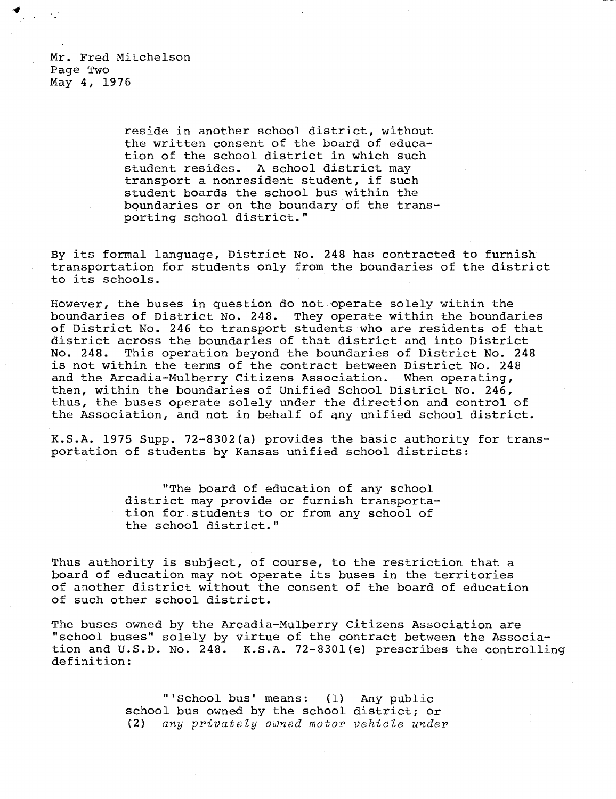Mr. Fred Mitchelson Page Two May 4, 1976

> reside in another school district, without the written consent of the board of education of the school district in which such student resides. A school district may transport a nonresident student, if such student boards the school bus within the boundaries or on the boundary of the transporting school district."

By its formal language, District No. 248 has contracted to furnish transportation for students only from the boundaries of the district to its schools.

However, the buses in question do not operate solely within the boundaries of District No. 248. They operate within the boundaries of District No. 246 to transport students who are residents of that district across the boundaries of that district and into District No. 248. This operation beyond the boundaries of District No. 248 is not within the terms of the contract between District No. 248 and the Arcadia-Mulberry Citizens Association. When operating, then, within the boundaries of Unified School District No. 246, thus, the buses operate solely under the direction and control of the Association, and not in behalf of any unified school district.

K.S.A. 1975 Supp. 72-8302(a) provides the basic authority for transportation of students by Kansas unified school districts:

> "The board of education of any school district may provide or furnish transportation for students to or from any school of the school district."

Thus authority is subject, of course, to the restriction that a board of education may not operate its buses in the territories of another district without the consent of the board of education of such other school district.

The buses owned by the Arcadia-Mulberry Citizens Association are "school buses" solely by virtue of the contract between the Association and U.S.D. No. 248. K.S.A. 72-8301(e) prescribes the controlling definition:

> "'School bus' means: (1) Any public school bus owned by the school district; or (2) *any privately owned motor vehicle under*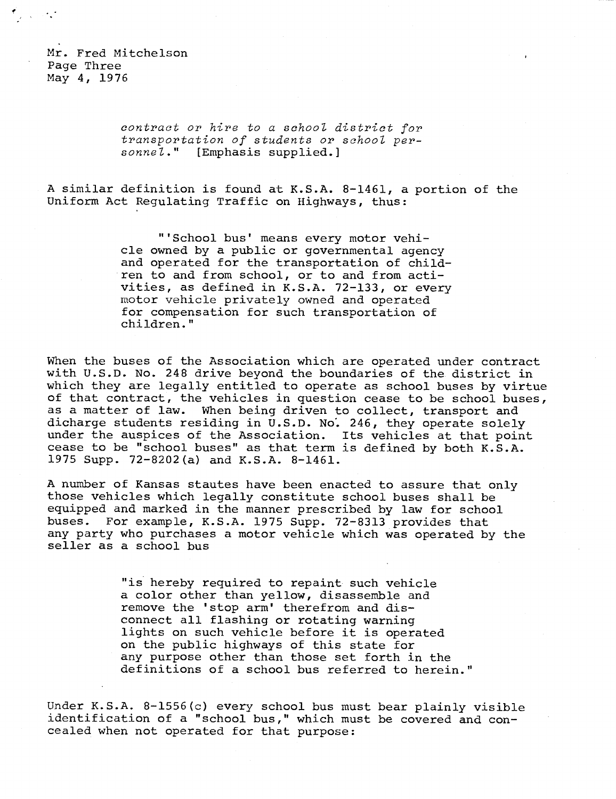Mr. Fred Mitchelson Page Three May 4, 1976

్పి సంస్థ

contract or hire to a school district for transportation of students or school personnel." [Emphasis supplied.]

A similar definition is found at K.S.A. 8-1461, a portion of the Uniform Act Regulating Traffic on Highways, thus:

> "'School bus' means every motor vehicle owned by a public or governmental agency and operated for the transportation of children to and from school, or to and from activities, as defined in K.S.A. 72-133, or every motor vehicle privately owned and operated for compensation for such transportation of children."

When the buses of the Association which are operated under contract with U.S.D. No. 248 drive beyond the boundaries of the district in which they are legally entitled to operate as school buses by virtue of that contract, the vehicles in question cease to be school buses, as a matter of law. When being driven to collect, transport and dicharge students residing in U.S.D. No: 246, they operate solely under the auspices of the Association. Its vehicles at that point cease to be "school buses" as that term is defined by both K.S.A. 1975 Supp. 72-8202(a) and K.S.A. 8-1461.

A number of Kansas stautes have been enacted to assure that only those vehicles which legally constitute school buses shall be equipped and marked in the manner prescribed by law for school buses. For example, K.S.A. 1975 Supp. 72-8313 provides that any party who purchases a motor vehicle which was operated by the seller as a school bus

> "is hereby required to repaint such vehicle a color other than yellow, disassemble and remove the 'stop arm' therefrom and disconnect all flashing or rotating warning lights on such vehicle before it is operated on the public highways of this state for any purpose other than those set forth in the definitions of a school bus referred to herein."

Under K.S.A. 8-1556(c) every school bus must bear plainly visible identification of a "school bus," which must be covered and concealed when not operated for that purpose: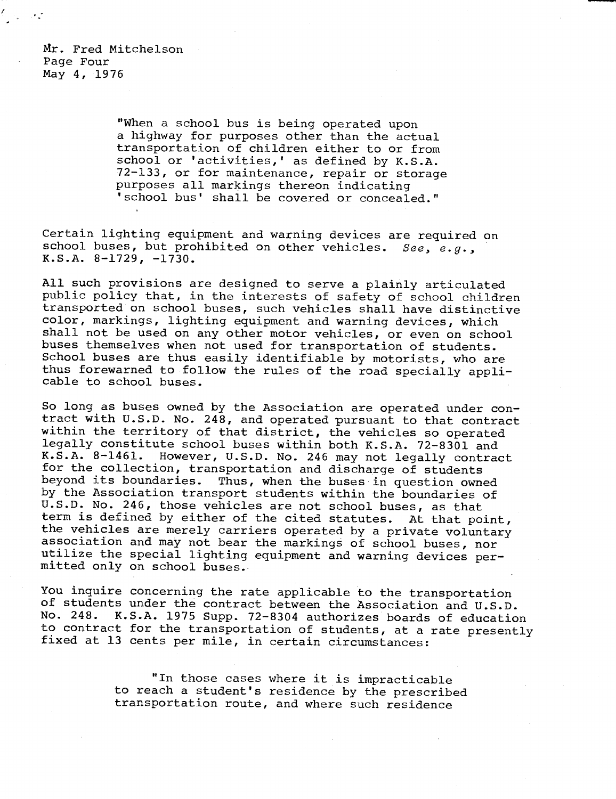Mr. Fred Mitchelson Page Four May 4, 1976

> "When a school bus is being operated upon a highway for purposes other than the actual transportation of children either to or from school or 'activities,' as defined by K.S.A. 72-133, or for maintenance, repair or storage purposes all markings thereon indicating 'school bus' shall be covered or concealed."

Certain lighting equipment and warning devices are required on school buses, but prohibited on other vehicles. See, e.g., K.S.A. 8-1729, -1730.

All such provisions are designed to serve a plainly articulated public policy that, in the interests of safety of school children transported on school buses, such vehicles shall have distinctive color, markings, lighting equipment and warning devices, which shall not be used on any other motor vehicles, or even on school buses themselves when not used for transportation of students. School buses are thus easily identifiable by motorists, who are thus forewarned to follow the rules of the road specially applicable to school buses.

So long as buses owned by the Association are operated under contract with U.S.D. No. 248, and operated pursuant to that contract within the territory of that district, the vehicles so operated legally constitute school buses within both K.S.A. 72-8301 and K.S.A. 8-1461. However, U.S.D. No. 246 may not legally contract for the collection, transportation and discharge of students<br>beyond its boundaries. Thus, when the buses in question owne Thus, when the buses in question owned by the Association transport students within the boundaries of U.S.D. No. 246, those vehicles are not school buses, as that term is defined by either of the cited statutes. At that point, the vehicles are merely carriers operated by a private voluntary association and may not bear the markings of school buses, nor utilize the special lighting equipment and warning devices permitted only on school buses..

You inquire concerning the rate applicable to the transportation of students under the contract between the Association and U.S.D. No. 248. K.S.A. 1975 Supp. 72-8304 authorizes boards of education to contract for the transportation of students, at a rate presently fixed at 13 cents per mile, in certain circumstances:

> "In those cases where it is impracticable to reach a student's residence by the prescribed transportation route, and where such residence